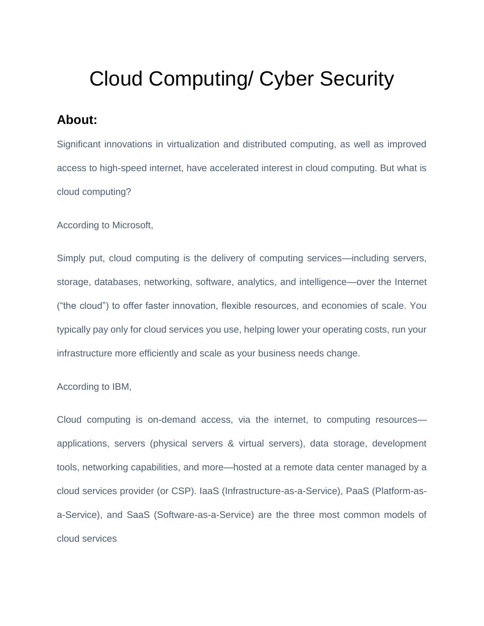# Cloud Computing/ Cyber Security

## **About:**

Significant innovations in virtualization and distributed computing, as well as improved access to high-speed internet, have accelerated interest in cloud computing. But what is cloud computing?

According to Microsoft,

Simply put, cloud computing is the delivery of computing services—including servers, storage, databases, networking, software, analytics, and intelligence—over the Internet ("the cloud") to offer faster innovation, flexible resources, and economies of scale. You typically pay only for cloud services you use, helping lower your operating costs, run your infrastructure more efficiently and scale as your business needs change.

#### According to IBM,

Cloud computing is on-demand access, via the internet, to computing resources applications, servers (physical servers & virtual servers), data storage, development tools, networking capabilities, and more—hosted at a remote data [center](https://www.ibm.com/in-en/cloud/learn/data-centers) managed by a cloud services provider (or CSP). IaaS (Infrastructure-as-a-Service), PaaS (Platform-asa-Service), and SaaS (Software-as-a-Service) are the three most common models of cloud services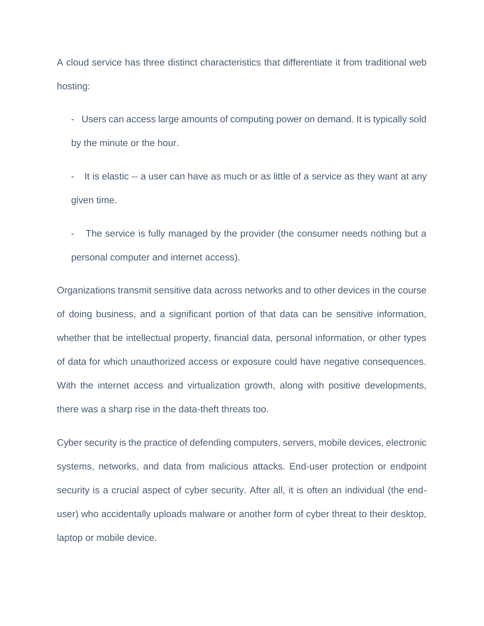A cloud service has three distinct characteristics that differentiate it from traditional web hosting:

- Users can access large amounts of computing power on demand. It is typically sold by the minute or the hour.

- It is elastic -- a user can have as much or as little of a service as they want at any given time.

The service is fully managed by the provider (the consumer needs nothing but a personal computer and internet access).

Organizations transmit sensitive data across networks and to other devices in the course of doing business, and a significant portion of that data can be sensitive information, whether that be intellectual property, financial data, personal information, or other types of data for which unauthorized access or exposure could have negative consequences. With the internet access and virtualization growth, along with positive developments, there was a sharp rise in the data-theft threats too.

Cyber security is the practice of defending computers, servers, mobile devices, electronic systems, networks, and data from malicious attacks. End-user protection or endpoint security is a crucial aspect of cyber security. After all, it is often an individual (the enduser) who accidentally uploads malware or another form of cyber threat to their desktop, laptop or mobile device.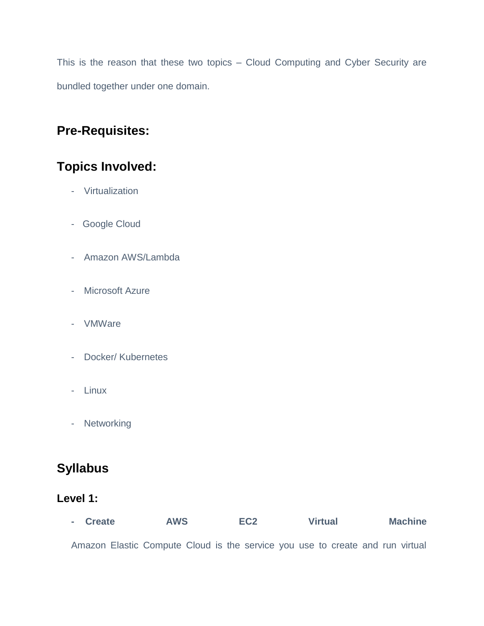This is the reason that these two topics – Cloud Computing and Cyber Security are bundled together under one domain.

## **Pre-Requisites:**

## **Topics Involved:**

- Virtualization
- Google Cloud
- Amazon AWS/Lambda
- Microsoft Azure
- VMWare
- Docker/ Kubernetes
- Linux
- Networking

## **Syllabus**

### **Level 1:**

| - Create                                                                      | <b>AWS</b> |  | EC <sub>2</sub> | <b>Virtual</b> |  |  |  | <b>Machine</b> |  |  |
|-------------------------------------------------------------------------------|------------|--|-----------------|----------------|--|--|--|----------------|--|--|
| Amazon Elastic Compute Cloud is the service you use to create and run virtual |            |  |                 |                |  |  |  |                |  |  |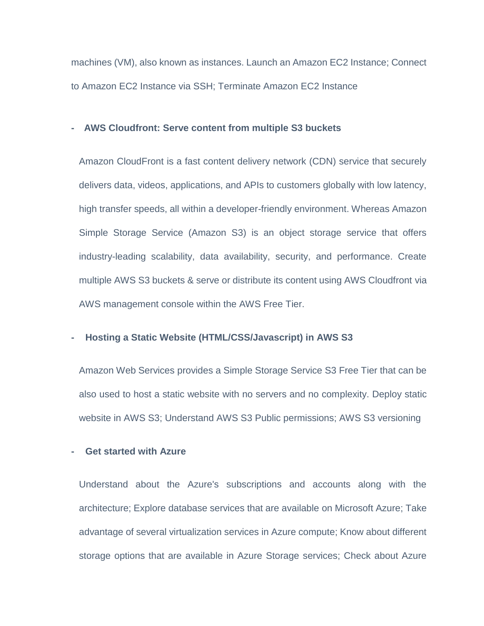machines (VM), also known as instances. Launch an Amazon EC2 Instance; Connect to Amazon EC2 Instance via SSH; Terminate Amazon EC2 Instance

#### **- AWS Cloudfront: Serve content from multiple S3 buckets**

Amazon CloudFront is a fast content delivery network (CDN) service that securely delivers data, videos, applications, and APIs to customers globally with low latency, high transfer speeds, all within a developer-friendly environment. Whereas Amazon Simple Storage Service (Amazon S3) is an object storage service that offers industry-leading scalability, data availability, security, and performance. Create multiple AWS S3 buckets & serve or distribute its content using AWS Cloudfront via AWS management console within the AWS Free Tier.

#### **- Hosting a Static Website (HTML/CSS/Javascript) in AWS S3**

Amazon Web Services provides a Simple Storage Service S3 Free Tier that can be also used to host a static website with no servers and no complexity. Deploy static website in AWS S3; Understand AWS S3 Public permissions; AWS S3 versioning

#### **- Get started with Azure**

Understand about the Azure's subscriptions and accounts along with the architecture; Explore database services that are available on Microsoft Azure; Take advantage of several virtualization services in Azure compute; Know about different storage options that are available in Azure Storage services; Check about Azure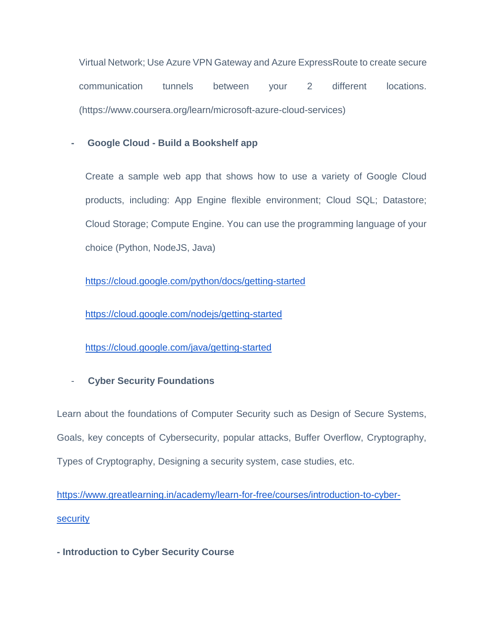Virtual Network; Use Azure VPN Gateway and Azure ExpressRoute to create secure communication tunnels between your 2 different locations. (https://www.coursera.org/learn/microsoft-azure-cloud-services)

#### **- Google Cloud - Build a Bookshelf app**

Create a sample web app that shows how to use a variety of Google Cloud products, including: App Engine flexible environment; Cloud SQL; Datastore; Cloud Storage; Compute Engine. You can use the programming language of your choice (Python, NodeJS, Java)

<https://cloud.google.com/python/docs/getting-started>

<https://cloud.google.com/nodejs/getting-started>

<https://cloud.google.com/java/getting-started>

### - **Cyber Security Foundations**

Learn about the foundations of Computer Security such as Design of Secure Systems, Goals, key concepts of Cybersecurity, popular attacks, Buffer Overflow, Cryptography, Types of Cryptography, Designing a security system, case studies, etc.

[https://www.greatlearning.in/academy/learn-for-free/courses/introduction-to-cyber](https://www.greatlearning.in/academy/learn-for-free/courses/introduction-to-cyber-security)**[security](https://www.greatlearning.in/academy/learn-for-free/courses/introduction-to-cyber-security)** 

**- Introduction to Cyber Security Course**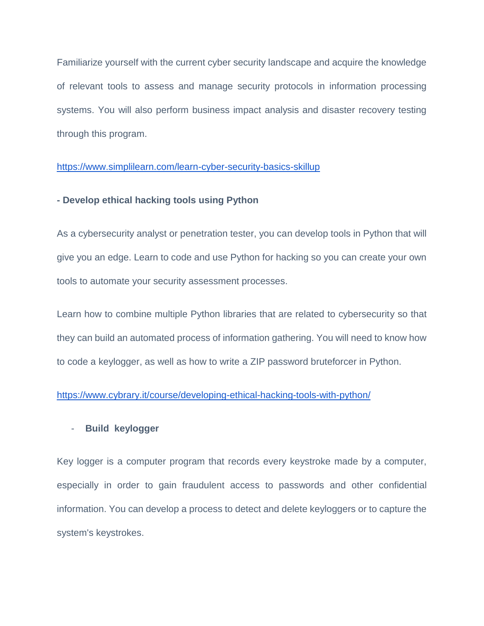Familiarize yourself with the current cyber security landscape and acquire the knowledge of relevant tools to assess and manage security protocols in information processing systems. You will also perform business impact analysis and disaster recovery testing through this program.

#### <https://www.simplilearn.com/learn-cyber-security-basics-skillup>

#### **- Develop ethical hacking tools using Python**

As a cybersecurity analyst or penetration tester, you can develop tools in Python that will give you an edge. Learn to code and use Python for hacking so you can create your own tools to automate your security assessment processes.

Learn how to combine multiple Python libraries that are related to cybersecurity so that they can build an automated process of information gathering. You will need to know how to code a keylogger, as well as how to write a ZIP password bruteforcer in Python.

#### <https://www.cybrary.it/course/developing-ethical-hacking-tools-with-python/>

#### - **Build keylogger**

Key logger is a computer program that records every keystroke made by a computer, especially in order to gain fraudulent access to passwords and other confidential information. You can develop a process to detect and delete keyloggers or to capture the system's keystrokes.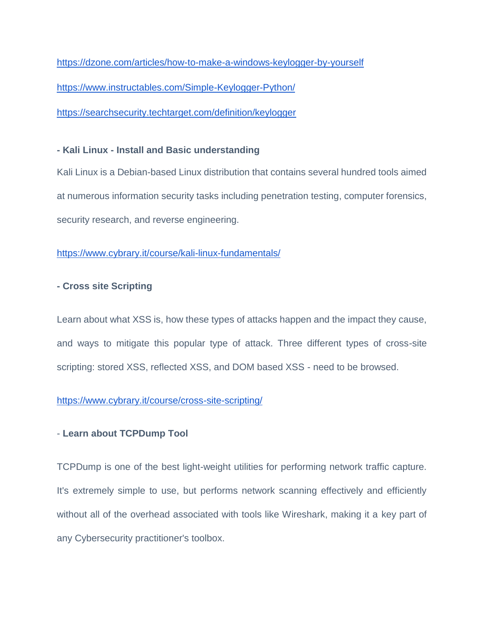<https://dzone.com/articles/how-to-make-a-windows-keylogger-by-yourself> <https://www.instructables.com/Simple-Keylogger-Python/>

<https://searchsecurity.techtarget.com/definition/keylogger>

#### **- Kali Linux - Install and Basic understanding**

Kali Linux is a Debian-based Linux distribution that contains several hundred tools aimed at numerous information security tasks including penetration testing, computer forensics, security research, and reverse engineering.

#### <https://www.cybrary.it/course/kali-linux-fundamentals/>

#### **- Cross site Scripting**

Learn about what XSS is, how these types of attacks happen and the impact they cause, and ways to mitigate this popular type of attack. Three different types of cross-site scripting: stored XSS, reflected XSS, and DOM based XSS - need to be browsed.

#### <https://www.cybrary.it/course/cross-site-scripting/>

#### - **Learn about TCPDump Tool**

TCPDump is one of the best light-weight utilities for performing network traffic capture. It's extremely simple to use, but performs network scanning effectively and efficiently without all of the overhead associated with tools like Wireshark, making it a key part of any Cybersecurity practitioner's toolbox.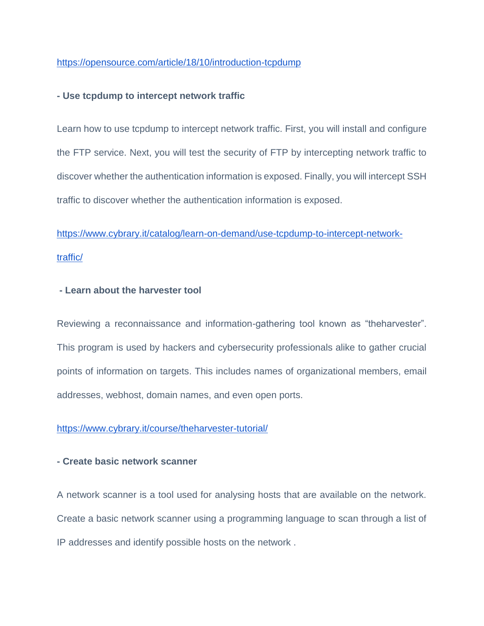#### <https://opensource.com/article/18/10/introduction-tcpdump>

#### **- Use tcpdump to intercept network traffic**

Learn how to use tcpdump to intercept network traffic. First, you will install and configure the FTP service. Next, you will test the security of FTP by intercepting network traffic to discover whether the authentication information is exposed. Finally, you will intercept SSH traffic to discover whether the authentication information is exposed.

## [https://www.cybrary.it/catalog/learn-on-demand/use-tcpdump-to-intercept-network](https://www.cybrary.it/catalog/learn-on-demand/use-tcpdump-to-intercept-network-traffic/)[traffic/](https://www.cybrary.it/catalog/learn-on-demand/use-tcpdump-to-intercept-network-traffic/)

#### **- Learn about the harvester tool**

Reviewing a reconnaissance and information-gathering tool known as "theharvester". This program is used by hackers and cybersecurity professionals alike to gather crucial points of information on targets. This includes names of organizational members, email addresses, webhost, domain names, and even open ports.

#### <https://www.cybrary.it/course/theharvester-tutorial/>

#### **- Create basic network scanner**

A network scanner is a tool used for analysing hosts that are available on the network. Create a basic network scanner using a programming language to scan through a list of IP addresses and identify possible hosts on the network .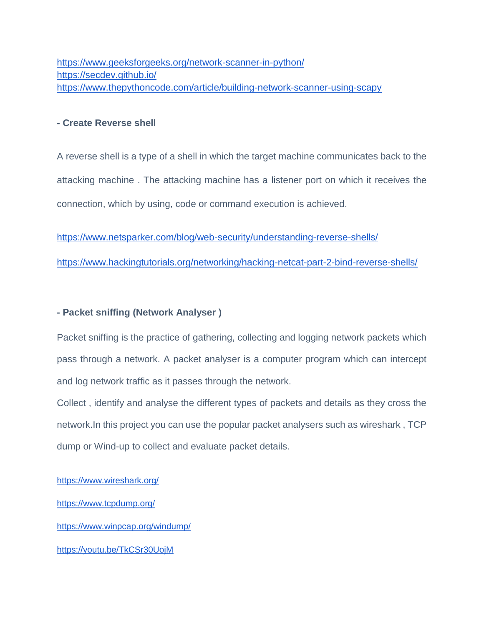<https://www.geeksforgeeks.org/network-scanner-in-python/> <https://secdev.github.io/> <https://www.thepythoncode.com/article/building-network-scanner-using-scapy>

#### **- Create Reverse shell**

A reverse shell is a type of a shell in which the target machine communicates back to the attacking machine . The attacking machine has a listener port on which it receives the connection, which by using, code or command execution is achieved.

<https://www.netsparker.com/blog/web-security/understanding-reverse-shells/>

<https://www.hackingtutorials.org/networking/hacking-netcat-part-2-bind-reverse-shells/>

#### **- Packet sniffing (Network Analyser )**

Packet sniffing is the practice of gathering, collecting and logging network packets which pass through a network. A packet analyser is a computer program which can intercept and log network traffic as it passes through the network.

Collect , identify and analyse the different types of packets and details as they cross the network.In this project you can use the popular packet analysers such as wireshark , TCP dump or Wind-up to collect and evaluate packet details.

<https://www.wireshark.org/>

<https://www.tcpdump.org/>

<https://www.winpcap.org/windump/>

<https://youtu.be/TkCSr30UojM>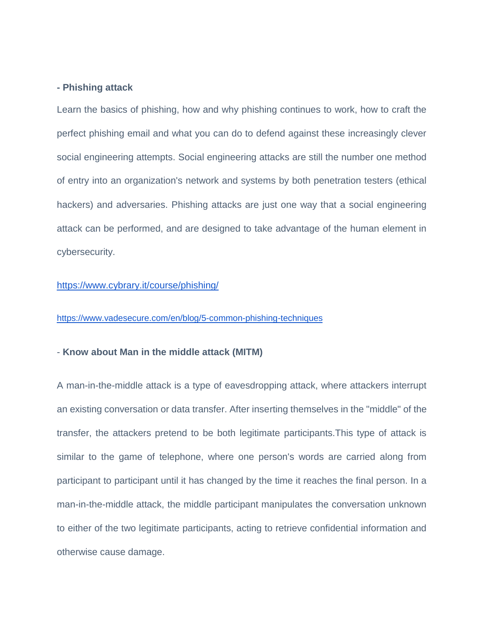#### **- Phishing attack**

Learn the basics of phishing, how and why phishing continues to work, how to craft the perfect phishing email and what you can do to defend against these increasingly clever social engineering attempts. Social engineering attacks are still the number one method of entry into an organization's network and systems by both penetration testers (ethical hackers) and adversaries. Phishing attacks are just one way that a social engineering attack can be performed, and are designed to take advantage of the human element in cybersecurity.

#### <https://www.cybrary.it/course/phishing/>

#### <https://www.vadesecure.com/en/blog/5-common-phishing-techniques>

#### - **Know about Man in the middle attack (MITM)**

A man-in-the-middle attack is a type of eavesdropping attack, where attackers interrupt an existing conversation or data transfer. After inserting themselves in the "middle" of the transfer, the attackers pretend to be both legitimate participants.This type of attack is similar to the game of telephone, where one person's words are carried along from participant to participant until it has changed by the time it reaches the final person. In a man-in-the-middle attack, the middle participant manipulates the conversation unknown to either of the two legitimate participants, acting to retrieve confidential information and otherwise cause damage.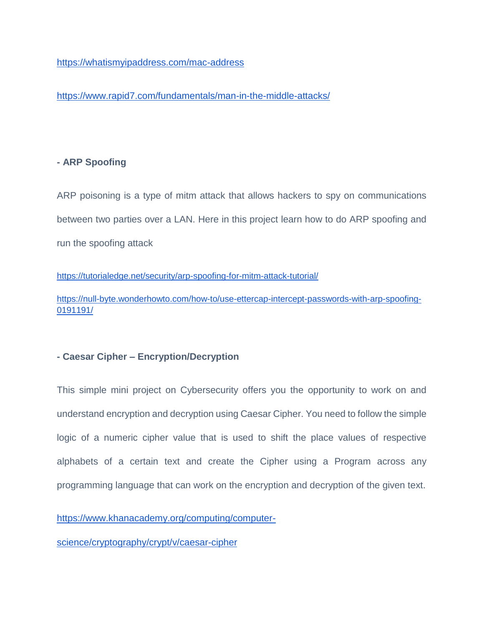#### <https://whatismyipaddress.com/mac-address>

<https://www.rapid7.com/fundamentals/man-in-the-middle-attacks/>

#### **- ARP Spoofing**

ARP poisoning is a type of mitm attack that allows hackers to spy on communications between two parties over a LAN. Here in this project learn how to do ARP spoofing and run the spoofing attack

<https://tutorialedge.net/security/arp-spoofing-for-mitm-attack-tutorial/>

[https://null-byte.wonderhowto.com/how-to/use-ettercap-intercept-passwords-with-arp-spoofing-](https://null-byte.wonderhowto.com/how-to/use-ettercap-intercept-passwords-with-arp-spoofing-0191191/)[0191191/](https://null-byte.wonderhowto.com/how-to/use-ettercap-intercept-passwords-with-arp-spoofing-0191191/)

#### **- Caesar Cipher – Encryption/Decryption**

This simple mini project on Cybersecurity offers you the opportunity to work on and understand encryption and decryption using Caesar Cipher. You need to follow the simple logic of a numeric cipher value that is used to shift the place values of respective alphabets of a certain text and create the Cipher using a Program across any programming language that can work on the encryption and decryption of the given text.

[https://www.khanacademy.org/computing/computer-](https://www.khanacademy.org/computing/computer-science/cryptography/crypt/v/caesar-cipher)

[science/cryptography/crypt/v/caesar-cipher](https://www.khanacademy.org/computing/computer-science/cryptography/crypt/v/caesar-cipher)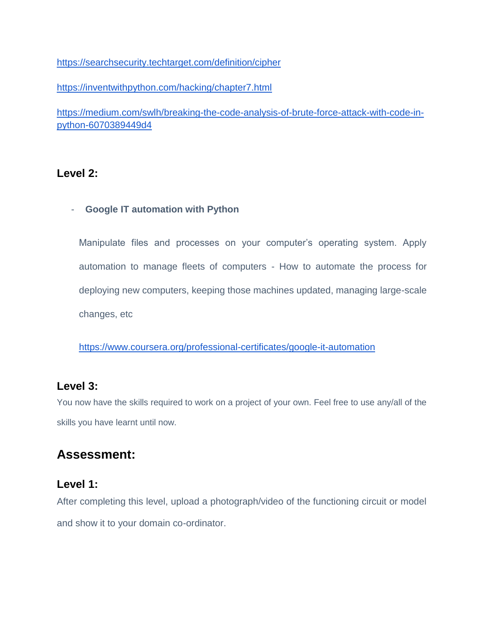<https://searchsecurity.techtarget.com/definition/cipher>

<https://inventwithpython.com/hacking/chapter7.html>

[https://medium.com/swlh/breaking-the-code-analysis-of-brute-force-attack-with-code-in](https://medium.com/swlh/breaking-the-code-analysis-of-brute-force-attack-with-code-in-python-6070389449d4)[python-6070389449d4](https://medium.com/swlh/breaking-the-code-analysis-of-brute-force-attack-with-code-in-python-6070389449d4)

### **Level 2:**

#### - **Google IT automation with Python**

Manipulate files and processes on your computer's operating system. Apply automation to manage fleets of computers - How to automate the process for deploying new computers, keeping those machines updated, managing large-scale changes, etc

<https://www.coursera.org/professional-certificates/google-it-automation>

### **Level 3:**

You now have the skills required to work on a project of your own. Feel free to use any/all of the skills you have learnt until now.

## **Assessment:**

### **Level 1:**

After completing this level, upload a photograph/video of the functioning circuit or model and show it to your domain co-ordinator.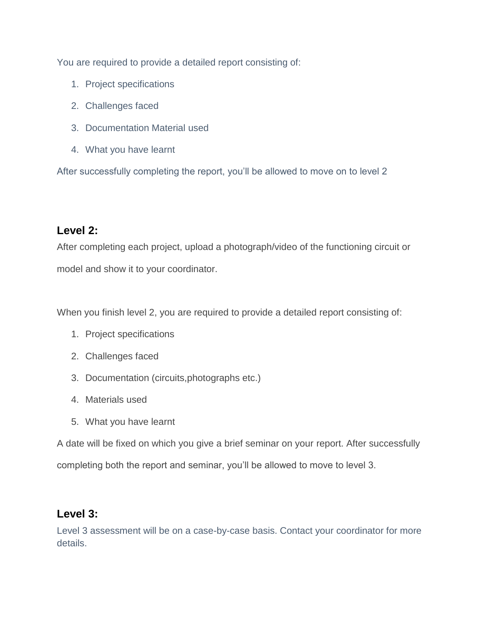You are required to provide a detailed report consisting of:

- 1. Project specifications
- 2. Challenges faced
- 3. Documentation Material used
- 4. What you have learnt

After successfully completing the report, you'll be allowed to move on to level 2

### **Level 2:**

After completing each project, upload a photograph/video of the functioning circuit or model and show it to your coordinator.

When you finish level 2, you are required to provide a detailed report consisting of:

- 1. Project specifications
- 2. Challenges faced
- 3. Documentation (circuits,photographs etc.)
- 4. Materials used
- 5. What you have learnt

A date will be fixed on which you give a brief seminar on your report. After successfully completing both the report and seminar, you'll be allowed to move to level 3.

### **Level 3:**

Level 3 assessment will be on a case-by-case basis. Contact your coordinator for more details.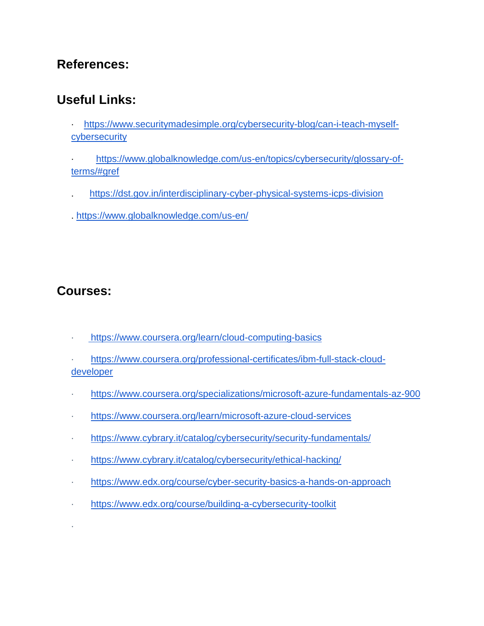## **References:**

## **Useful Links:**

- · [https://www.securitymadesimple.org/cybersecurity-blog/can-i-teach-myself](https://www.securitymadesimple.org/cybersecurity-blog/can-i-teach-myself-cybersecurity)[cybersecurity](https://www.securitymadesimple.org/cybersecurity-blog/can-i-teach-myself-cybersecurity)
- [https://www.globalknowledge.com/us-en/topics/cybersecurity/glossary-of](https://www.globalknowledge.com/us-en/topics/cybersecurity/glossary-of-terms/#gref)[terms/#gref](https://www.globalknowledge.com/us-en/topics/cybersecurity/glossary-of-terms/#gref)
- . <https://dst.gov.in/interdisciplinary-cyber-physical-systems-icps-division>
- .<https://www.globalknowledge.com/us-en/>

## **Courses:**

·

- · <https://www.coursera.org/learn/cloud-computing-basics>
- [https://www.coursera.org/professional-certificates/ibm-full-stack-cloud](https://www.coursera.org/professional-certificates/ibm-full-stack-cloud-developer)[developer](https://www.coursera.org/professional-certificates/ibm-full-stack-cloud-developer)
- · <https://www.coursera.org/specializations/microsoft-azure-fundamentals-az-900>
- · <https://www.coursera.org/learn/microsoft-azure-cloud-services>
- · <https://www.cybrary.it/catalog/cybersecurity/security-fundamentals/>
- · <https://www.cybrary.it/catalog/cybersecurity/ethical-hacking/>
- · <https://www.edx.org/course/cyber-security-basics-a-hands-on-approach>
- · <https://www.edx.org/course/building-a-cybersecurity-toolkit>